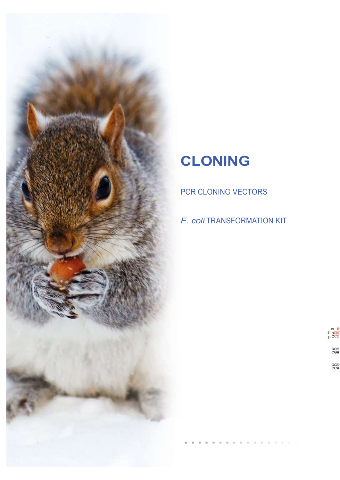

## CLONING

PCR CLONING VECTORS

E. coli TRANSFORMATION KIT

 $5 - G$ 

**GCT<br>CGA** 

**GGT<br>CCA**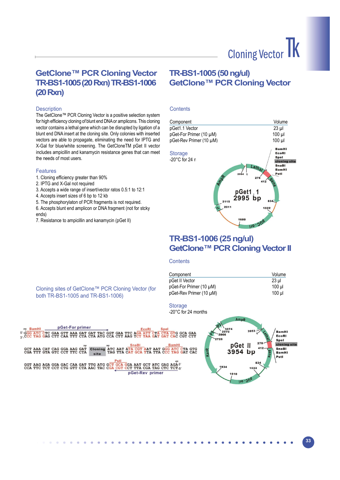## GetClone™ PCR Cloning Vector TR-BS1-1005 (20 Rxn) TR-BS1-1006 (20 Rxn)

#### **Description**

The GetClone™ PCR Cloning Vector is a positive selection system for high efficiency cloning of blunt end DNA or amplicons. This cloning vector contains a lethal gene which can be disrupted by ligation of a blunt end DNA insert at the cloning site. Only colonies with inserted vectors are able to propagate, eliminating the need for IPTG and X-Gal for blue/white screening. The GetCloneTM pGet II vector includes ampicillin and kanamycin resistance genes that can meet the needs of most users.

#### **Features**

- 1. Cloning efficiency greater than 90%
- 2. IPTG and X-Gal not required
- 3. Accepts a wide range of insert/vector ratos 0.5:1 to 12:1
- 4. Accepts insert sizes of 6 bp to 12 kb
- 5. The phosphorylaton of PCR fragments is not required.
- 6. Accepts blunt end amplicon or DNA fragment (not for stcky ends)

Cloning sites of GetClone™ PCR Cloning Vector (for

both TR-BS1-1005 and TR-BS1-1006)

7. Resistance to ampicillin and kanamycin (pGet II)

## TR-BS1-1005 (50 ng/ul) GetClone™ PCR Cloning Vector

#### **Contents**



### TR-BS1-1006 (25 ng/ul) GetClone™ PCR Cloning Vector II

#### **Contents**

| Component               | Volume |
|-------------------------|--------|
| pGet II Vector          | 23 ul  |
| pGet-For Primer (10 µM) | 100 ul |
| pGet-Rev Primer (10 µM) | 100 ul |

**Storage** 

-20°C for 24 months





32 33